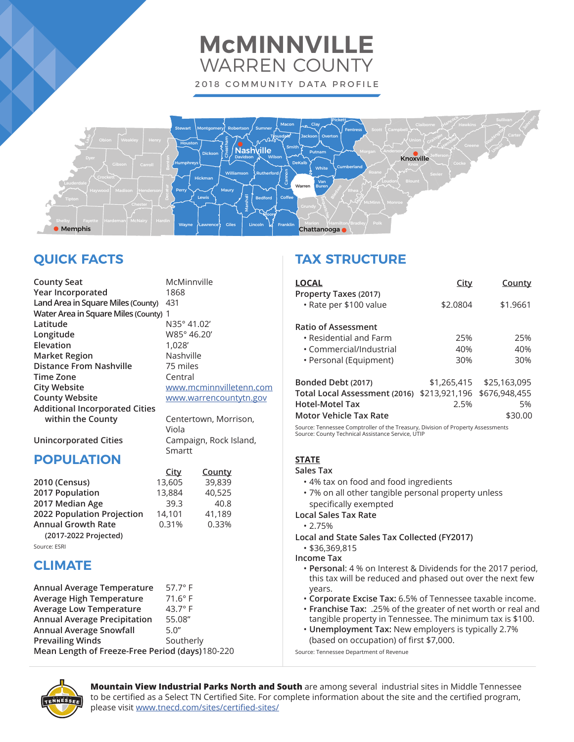# **McMINNVILLE** WARREN COUNTY 2018 COMMUNITY DATA PROFILE



# **QUICK FACTS**

| <b>County Seat</b>                               | McMinnville             | <b>LOCAL</b>                                                                              |
|--------------------------------------------------|-------------------------|-------------------------------------------------------------------------------------------|
| Year Incorporated                                | 1868                    | Property Taxes (2017)                                                                     |
| Land Area in Square Miles (County)               | 431                     | · Rate per \$100 value                                                                    |
| Water Area in Square Miles (County) 1            |                         |                                                                                           |
| Latitude                                         | N35° 41.02'             | <b>Ratio of Assessment</b>                                                                |
| Longitude                                        | W85° 46.20'             | • Residential and Farm                                                                    |
| Elevation                                        | 1,028'                  | • Commercial/Industrial                                                                   |
| <b>Market Region</b>                             | Nashville               | • Personal (Equipment)                                                                    |
| <b>Distance From Nashville</b>                   | 75 miles                |                                                                                           |
| <b>Time Zone</b>                                 | Central                 | Bonded Debt (2017)                                                                        |
| <b>City Website</b>                              | www.mcminnvilletenn.com | Total Local Assessment (201                                                               |
| <b>County Website</b>                            | www.warrencountytn.gov  | <b>Hotel-Motel Tax</b>                                                                    |
| <b>Additional Incorporated Cities</b>            |                         | <b>Motor Vehicle Tax Rate</b>                                                             |
| within the County                                | Centertown, Morrison,   |                                                                                           |
|                                                  | Viola                   | Source: Tennessee Comptroller of the Treas<br>Source: County Technical Assistance Service |
| <b>Unincorporated Cities</b>                     | Campaign, Rock Island,  |                                                                                           |
|                                                  | Smartt                  |                                                                                           |
| <b>POPULATION</b>                                |                         | <b>STATE</b>                                                                              |
|                                                  | County<br><b>City</b>   | Sales Tax                                                                                 |
| 2010 (Census)                                    | 13,605<br>39,839        | • 4% tax on food and food                                                                 |
| 2017 Population                                  | 13,884<br>40,525        | · 7% on all other tangible p                                                              |
| 2017 Median Age                                  | 40.8<br>39.3            | specifically exempted                                                                     |
| 2022 Population Projection                       | 41,189<br>14,101        | <b>Local Sales Tax Rate</b>                                                               |
| <b>Annual Growth Rate</b>                        | 0.31%<br>0.33%          | $\cdot$ 2.75%                                                                             |
| (2017-2022 Projected)                            |                         | <b>Local and State Sales Tax Co</b>                                                       |
| Source: ESRI                                     |                         | • \$36,369,815                                                                            |
| <b>CLIMATE</b>                                   |                         | <b>Income Tax</b>                                                                         |
|                                                  |                         | • Personal: 4 % on Interest                                                               |
|                                                  |                         | this tax will be reduced a                                                                |
| Annual Average Temperature                       | $57.7^\circ$ F          | years.                                                                                    |
| <b>Average High Temperature</b>                  | 71.6°F                  | <b>· Corporate Excise Tax: 6.5</b>                                                        |
| <b>Average Low Temperature</b>                   | 43.7 $\degree$ F        | · Franchise Tax: .25% of th                                                               |
| <b>Annual Average Precipitation</b>              | 55.08"<br>5.0''         | tangible property in Tenn<br>• Unemployment Tax: Nev                                      |
| <b>Annual Average Snowfall</b>                   |                         |                                                                                           |
| <b>Prevailing Winds</b>                          | Southerly               | (based on occupation) of                                                                  |
| Mean Length of Freeze-Free Period (days) 180-220 |                         | Source: Tennessee Department of Revenue                                                   |

# **TAX STRUCTURE**

| <b>LOCAL</b>                                    | City          | County        |
|-------------------------------------------------|---------------|---------------|
| Property Taxes (2017)<br>· Rate per \$100 value | \$2.0804      | \$1.9661      |
|                                                 |               |               |
| <b>Ratio of Assessment</b>                      |               |               |
| $\cdot$ Residential and Farm                    | 25%           | 25%           |
| • Commercial/Industrial                         | 40%           | 40%           |
| • Personal (Equipment)                          | 30%           | 30%           |
| Bonded Debt (2017)                              | \$1,265,415   | \$25,163,095  |
| Total Local Assessment (2016)                   | \$213,921,196 | \$676,948,455 |
| <b>Hotel-Motel Tax</b>                          | 2.5%          | 5%            |
| <b>Motor Vehicle Tax Rate</b>                   |               | \$30.00       |

Source: Tennessee Comptroller of the Treasury, Division of Property Assessments Source: County Technical Assistance Service, UTIP

- ingredients
- ersonal property unless
- bllected (FY2017)
- & Dividends for the 2017 period, nd phased out over the next few
- 5% of Tennessee taxable income.
- ne greater of net worth or real and  $t$  assee. The minimum tax is \$100.
- **Unemployment Tax:** New employers is typically 2.7%  $first$  $$7,000.$

Source: Tennessee Department of Revenue



**Mountain View Industrial Parks North and South** are among several industrial sites in Middle Tennessee to be certified as a Select TN Certified Site. For complete information about the site and the certified program, please visit [www.tnecd.com/sites/certified-sites/](http://www.tnecd.com/sites/certified-sites/)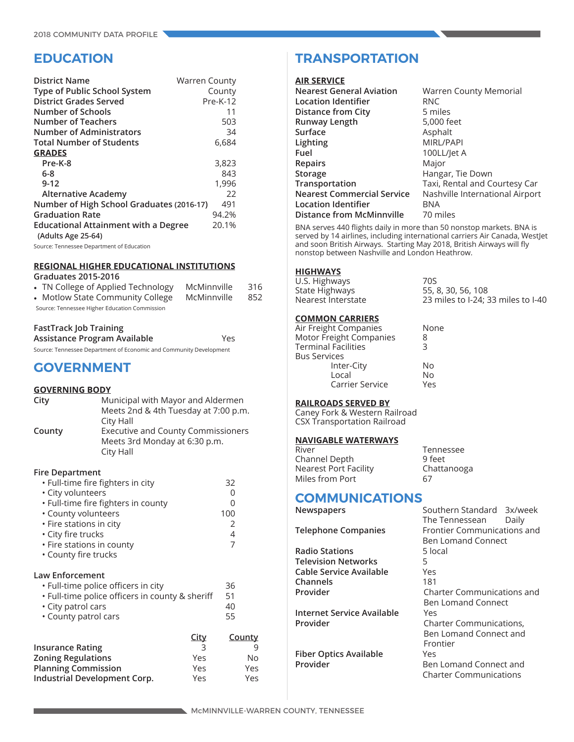# **EDUCATION**

| <b>District Name</b>                        | <b>Warren County</b> |
|---------------------------------------------|----------------------|
| Type of Public School System                | County               |
| <b>District Grades Served</b>               | $Pre-K-12$           |
| Number of Schools                           | 11                   |
| <b>Number of Teachers</b>                   | 503                  |
| <b>Number of Administrators</b>             | 34                   |
| <b>Total Number of Students</b>             | 6,684                |
| <b>GRADES</b>                               |                      |
| Pre-K-8                                     | 3,823                |
| 6-8                                         | 843                  |
| $9 - 12$                                    | 1,996                |
| <b>Alternative Academy</b>                  | 22                   |
| Number of High School Graduates (2016-17)   | 491                  |
| <b>Graduation Rate</b>                      | 94.2%                |
| <b>Educational Attainment with a Degree</b> | 20.1%                |
| (Adults Age 25-64)                          |                      |
| Source: Tennessee Department of Education   |                      |

### **REGIONAL HIGHER EDUCATIONAL INSTITUTIONS**

#### **Graduates 2015-2016**

|                                               | • TN College of Applied Technology | McMinnville | 316 |
|-----------------------------------------------|------------------------------------|-------------|-----|
|                                               | • Motlow State Community College   | McMinnville | 852 |
| Source: Tennessee Higher Education Commission |                                    |             |     |

#### **FastTrack Job Training**

**Assistance Program Available** Yes

Source: Tennessee Department of Economic and Community Development

# **GOVERNMENT**

#### **GOVERNING BODY**

| City   | Municipal with Mayor and Aldermen         |
|--------|-------------------------------------------|
|        | Meets 2nd & 4th Tuesday at 7:00 p.m.      |
|        | City Hall                                 |
| County | <b>Executive and County Commissioners</b> |
|        | Meets 3rd Monday at 6:30 p.m.             |
|        | City Hall                                 |

#### **Fire Department**

| · Full-time fire fighters in city<br>• City volunteers<br>· Full-time fire fighters in county<br>• County volunteers<br>$\cdot$ Fire stations in city<br>• City fire trucks<br>• Fire stations in county |                                       | 32<br>O<br>O<br>100<br>2<br>4<br>7 |                       |
|----------------------------------------------------------------------------------------------------------------------------------------------------------------------------------------------------------|---------------------------------------|------------------------------------|-----------------------|
| • County fire trucks<br>Law Enforcement<br>. Full-time police officers in city<br>• Full-time police officers in county & sheriff<br>• City patrol cars<br>• County patrol cars                          |                                       | 36<br>51<br>40<br>55               |                       |
| <b>Insurance Rating</b><br><b>Zoning Regulations</b><br><b>Planning Commission</b><br>Industrial Development Corp.                                                                                       | <b>City</b><br>3<br>Yes<br>Yes<br>Yes | <b>County</b>                      | 9<br>No<br>Yes<br>Yes |

# **TRANSPORTATION**

#### **AIR SERVICE**

| <b>Warren County Memorial</b>   |
|---------------------------------|
| <b>RNC</b>                      |
| 5 miles                         |
| 5,000 feet                      |
| Asphalt                         |
| MIRL/PAPI                       |
| 100LL/Jet A                     |
| Major                           |
| Hangar, Tie Down                |
| Taxi, Rental and Courtesy Car   |
| Nashville International Airport |
| BNA                             |
| 70 miles                        |
|                                 |

BNA serves 440 flights daily in more than 50 nonstop markets. BNA is served by 14 airlines, including international carriers Air Canada, WestJet and soon British Airways. Starting May 2018, British Airways will fly nonstop between Nashville and London Heathrow.

#### **HIGHWAYS**

U.S. Highways 70S State Highways 55, 8, 30, 56, 108<br>Nearest Interstate 55, 8, 30, 56, 108

#### **COMMON CARRIERS**

| Air Freight Companies      | None |
|----------------------------|------|
| Motor Freight Companies    | 8    |
| <b>Terminal Facilities</b> | 3    |
| <b>Bus Services</b>        |      |
| Inter-City                 | No   |
| Local                      | No   |
| Carrier Service            | Yes  |

#### **RAILROADS SERVED BY**

Caney Fork & Western Railroad CSX Transportation Railroad

#### **NAVIGABLE WATERWAYS**

| Tennessee   |
|-------------|
| 9 feet      |
| Chattanooga |
| 67          |
|             |

# **COMMUNICATIONS**<br>Newspapers

**Radio Stations** 5 local **Television Networks** 5 **Cable Service Available** Yes **Channels** 181<br>**Provider** Cha

**Internet Service Available** Yes **Provider** Charter Communications,

**Fiber Optics Available** 



23 miles to I-24; 33 miles to I-40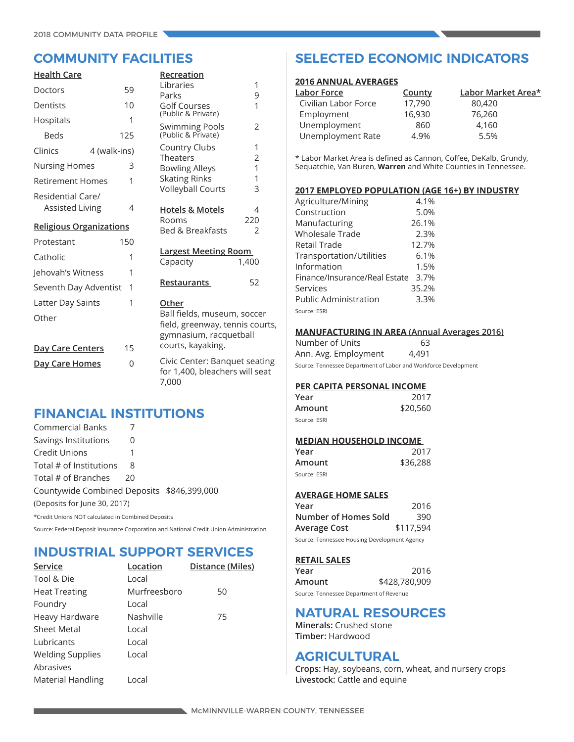| <b>Health Care</b>             |              |   | Recreation                                                                               |                |
|--------------------------------|--------------|---|------------------------------------------------------------------------------------------|----------------|
| Doctors                        | 59           |   | Libraries<br>Parks                                                                       | 1<br>9         |
| Dentists                       | 10           |   | <b>Golf Courses</b>                                                                      | 1              |
| Hospitals                      |              | 1 | (Public & Private)                                                                       |                |
| <b>Beds</b>                    | 125          |   | Swimming Pools<br>(Public & Private)                                                     | $\overline{2}$ |
| Clinics                        | 4 (walk-ins) |   | Country Clubs                                                                            | 1              |
| <b>Nursing Homes</b>           |              | 3 | <b>Theaters</b><br><b>Bowling Alleys</b>                                                 | 2<br>1         |
| <b>Retirement Homes</b>        |              | 1 | <b>Skating Rinks</b>                                                                     | 1              |
| Residential Care/              |              |   | <b>Volleyball Courts</b>                                                                 | 3              |
| <b>Assisted Living</b>         |              | 4 | <b>Hotels &amp; Motels</b>                                                               | 4              |
| <b>Religious Organizations</b> |              |   | Rooms                                                                                    | 220            |
|                                |              |   | <b>Bed &amp; Breakfasts</b>                                                              | $\overline{2}$ |
| Protestant                     | 150          |   |                                                                                          |                |
| Catholic                       |              | 1 | <u>Largest Meeting Room</u><br>Capacity                                                  | 1,400          |
| Jehovah's Witness              |              | 1 |                                                                                          |                |
| Seventh Day Adventist          |              | 1 | <b>Restaurants</b>                                                                       | 52             |
| Latter Day Saints              |              | 1 | Other                                                                                    |                |
| Other                          |              |   | Ball fields, museum, soccer<br>field, greenway, tennis courts,<br>gymnasium, racquetball |                |
| Day Care Centers               | 15           |   | courts, kayaking.                                                                        |                |
| Day Care Homes                 |              | 0 | Civic Center: Banguet seating<br>for 1,400, bleachers will seat<br>7,000                 |                |

# **FINANCIAL INSTITUTIONS**

| <b>Commercial Banks</b>                            |    |                                                                                        |
|----------------------------------------------------|----|----------------------------------------------------------------------------------------|
| Savings Institutions                               | 0  |                                                                                        |
| Credit Unions                                      |    |                                                                                        |
| Total # of Institutions                            | 8  |                                                                                        |
| Total # of Branches                                | 20 |                                                                                        |
| Countywide Combined Deposits \$846,399,000         |    |                                                                                        |
| (Deposits for June 30, 2017)                       |    |                                                                                        |
| *Credit Unions NOT calculated in Combined Deposits |    |                                                                                        |
|                                                    |    | Source: Federal Deposit Insurance Corporation and National Credit Union Administration |

# **INDUSTRIAL SUPPORT SERVICES**

| Service                  | Location     | Distance (Miles) |
|--------------------------|--------------|------------------|
| Tool & Die               | Local        |                  |
| <b>Heat Treating</b>     | Murfreesboro | 50               |
| Foundry                  | Local        |                  |
| Heavy Hardware           | Nashville    | 75               |
| Sheet Metal              | Local        |                  |
| Lubricants               | Local        |                  |
| <b>Welding Supplies</b>  | Local        |                  |
| Abrasives                |              |                  |
| <b>Material Handling</b> | Local        |                  |

# **COMMUNITY FACILITIES SELECTED ECONOMIC INDICATORS**

### **2016 ANNUAL AVERAGES**

| <u> Labor Force</u>  | County | Labor Market Area* |
|----------------------|--------|--------------------|
| Civilian Labor Force | 17.790 | 80,420             |
| Employment           | 16,930 | 76,260             |
| Unemployment         | 860    | 4.160              |
| Unemployment Rate    | 4.9%   | 5.5%               |

\* Labor Market Area is defined as Cannon, Coffee, DeKalb, Grundy, Sequatchie, Van Buren, **Warren** and White Counties in Tennessee.

### **2017 EMPLOYED POPULATION (AGE 16+) BY INDUSTRY**

| Agriculture/Mining            | 4.1%  |
|-------------------------------|-------|
| Construction                  | 5.0%  |
| Manufacturing                 | 26.1% |
| Wholesale Trade               | 2.3%  |
| Retail Trade                  | 12.7% |
| Transportation/Utilities      | 6.1%  |
| Information                   | 1.5%  |
| Finance/Insurance/Real Estate | 3.7%  |
| Services                      | 35.2% |
| Public Administration         | 3.3%  |
| Source: ESRI                  |       |

#### **MANUFACTURING IN AREA (Annual Averages 2016)**

| Number of Units      | 63    |
|----------------------|-------|
| Ann. Avg. Employment | 4.491 |

Source: Tennessee Department of Labor and Workforce Development

### **PER CAPITA PERSONAL INCOME**

| Year         | 2017     |
|--------------|----------|
| Amount       | \$20,560 |
| Source: ESRI |          |

#### **MEDIAN HOUSEHOLD INCOME**

| Year         | 2017     |
|--------------|----------|
| Amount       | \$36,288 |
| Source: ESRI |          |

### **AVERAGE HOME SALES**

| Year                                         | 2016      |  |
|----------------------------------------------|-----------|--|
| Number of Homes Sold                         | 390       |  |
| Average Cost                                 | \$117,594 |  |
| Source: Tennessee Housing Development Agency |           |  |

#### **RETAIL SALES**

| Year                                    | 2016          |  |
|-----------------------------------------|---------------|--|
| Amount                                  | \$428,780,909 |  |
| Source: Tennessee Department of Revenue |               |  |

## **NATURAL RESOURCES**

**Minerals:** Crushed stone **Timber:** Hardwood

## **AGRICULTURAL**

**Crops:** Hay, soybeans, corn, wheat, and nursery crops **Livestock:** Cattle and equine